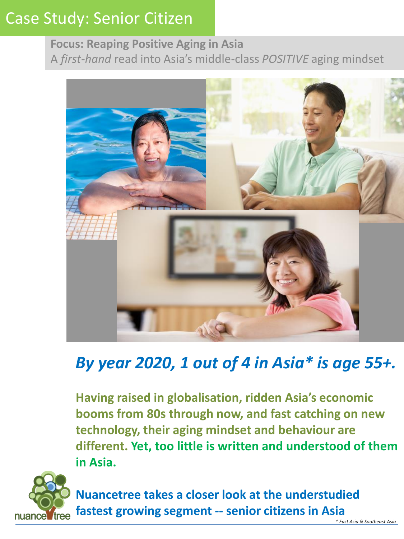## **Focus: Reaping Positive Aging in Asia** A *first-hand* read into Asia's middle-class *POSITIVE* aging mindset



# *By year 2020, 1 out of 4 in Asia\* is age 55+.*

**Having raised in globalisation, ridden Asia's economic booms from 80s through now, and fast catching on new technology, their aging mindset and behaviour are different. Yet, too little is written and understood of them in Asia.** 



**Nuancetree takes a closer look at the understudied fastest growing segment -- senior citizens in Asia**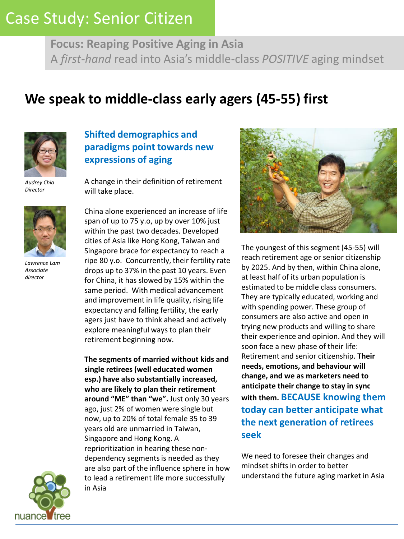**Focus: Reaping Positive Aging in Asia** A *first-hand* read into Asia's middle-class *POSITIVE* aging mindset

# **We speak to middle-class early agers (45-55) first**



*Audrey Chia Director*



*Lawrence Lam Associate director*

## **Shifted demographics and paradigms point towards new expressions of aging**

A change in their definition of retirement will take place.

China alone experienced an increase of life span of up to 75 y.o, up by over 10% just within the past two decades. Developed cities of Asia like Hong Kong, Taiwan and Singapore brace for expectancy to reach a ripe 80 y.o. Concurrently, their fertility rate drops up to 37% in the past 10 years. Even for China, it has slowed by 15% within the same period. With medical advancement and improvement in life quality, rising life expectancy and falling fertility, the early agers just have to think ahead and actively explore meaningful ways to plan their retirement beginning now.

**The segments of married without kids and single retirees (well educated women esp.) have also substantially increased, who are likely to plan their retirement around "ME" than "we".** Just only 30 years ago, just 2% of women were single but now, up to 20% of total female 35 to 39 years old are unmarried in Taiwan, Singapore and Hong Kong. A reprioritization in hearing these nondependency segments is needed as they are also part of the influence sphere in how to lead a retirement life more successfully in Asia



The youngest of this segment (45-55) will reach retirement age or senior citizenship by 2025. And by then, within China alone, at least half of its urban population is estimated to be middle class consumers. They are typically educated, working and with spending power. These group of consumers are also active and open in trying new products and willing to share their experience and opinion. And they will soon face a new phase of their life: Retirement and senior citizenship. **Their needs, emotions, and behaviour will change, and we as marketers need to anticipate their change to stay in sync with them. BECAUSE knowing them today can better anticipate what the next generation of retirees seek**

We need to foresee their changes and mindset shifts in order to better understand the future aging market in Asia

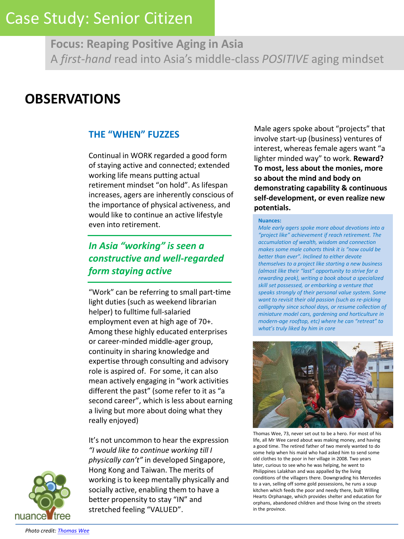**Focus: Reaping Positive Aging in Asia** A *first-hand* read into Asia's middle-class *POSITIVE* aging mindset

## **OBSERVATIONS**

## **THE "WHEN" FUZZES**

Continual in WORK regarded a good form of staying active and connected; extended working life means putting actual retirement mindset "on hold". As lifespan increases, agers are inherently conscious of the importance of physical activeness, and would like to continue an active lifestyle even into retirement.

## *In Asia "working" is seen a constructive and well-regarded form staying active*

"Work" can be referring to small part-time light duties (such as weekend librarian helper) to fulltime full-salaried employment even at high age of 70+. Among these highly educated enterprises or career-minded middle-ager group, continuity in sharing knowledge and expertise through consulting and advisory role is aspired of. For some, it can also mean actively engaging in "work activities different the past" (some refer to it as "a second career", which is less about earning a living but more about doing what they really enjoyed)

It's not uncommon to hear the expression *"I would like to continue working till I physically can't"* in developed Singapore, Hong Kong and Taiwan. The merits of working is to keep mentally physically and socially active, enabling them to have a better propensity to stay "IN" and stretched feeling "VALUED".

Male agers spoke about "projects" that involve start-up (business) ventures of interest, whereas female agers want "a lighter minded way" to work. **Reward? To most, less about the monies, more so about the mind and body on demonstrating capability & continuous self-development, or even realize new potentials.** 

#### **Nuances:**

*Male early agers spoke more about devotions into a "project like" achievement if reach retirement. The accumulation of wealth, wisdom and connection makes some male cohorts think it is "now could be better than ever". Inclined to either devote themselves to a project like starting a new business (almost like their "last" opportunity to strive for a rewarding peak), writing a book about a specialized skill set possessed, or embarking a venture that speaks strongly of their personal value system. Some want to revisit their old passion (such as re-picking calligraphy since school days, or resume collection of miniature model cars, gardening and horticulture in modern-age rooftop, etc) where he can "retreat" to what's truly liked by him in core* 



Thomas Wee, 73, never set out to be a hero. For most of his life, all Mr Wee cared about was making money, and having a good time. The retired father of two merely wanted to do some help when his maid who had asked him to send some old clothes to the poor in her village in 2008. Two years later, curious to see who he was helping, he went to Philippines Lalakhan and was appalled by the living conditions of the villagers there. Downgrading his Mercedes to a van, selling off some gold possessions, he runs a soup kitchen which feeds the poor and needy there, built Willing Hearts Orphanage, which provides shelter and education for orphans, abandoned children and those living on the streets in the province.

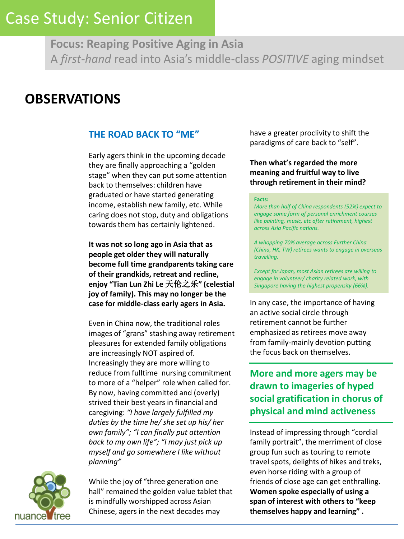**Focus: Reaping Positive Aging in Asia** A *first-hand* read into Asia's middle-class *POSITIVE* aging mindset

## **OBSERVATIONS**

## **THE ROAD BACK TO "ME"**

Early agers think in the upcoming decade they are finally approaching a "golden stage" when they can put some attention back to themselves: children have graduated or have started generating income, establish new family, etc. While caring does not stop, duty and obligations towards them has certainly lightened.

**It was not so long ago in Asia that as people get older they will naturally become full time grandparents taking care of their grandkids, retreat and recline, enjoy "Tian Lun Zhi Le** 天伦之乐**" (celestial joy of family). This may no longer be the case for middle-class early agers in Asia.** 

Even in China now, the traditional roles images of "grans" stashing away retirement pleasures for extended family obligations are increasingly NOT aspired of. Increasingly they are more willing to reduce from fulltime nursing commitment to more of a "helper" role when called for. By now, having committed and (overly) strived their best years in financial and caregiving: *"I have largely fulfilled my duties by the time he/ she set up his/ her own family"; "I can finally put attention back to my own life"; "I may just pick up myself and go somewhere I like without planning"* 



While the joy of "three generation one hall" remained the golden value tablet that is mindfully worshipped across Asian Chinese, agers in the next decades may

have a greater proclivity to shift the paradigms of care back to "self".

### **Then what's regarded the more meaning and fruitful way to live through retirement in their mind?**

#### **Facts:**

*More than half of China respondents (52%) expect to engage some form of personal enrichment courses like painting, music, etc after retirement, highest across Asia Pacific nations.* 

*A whopping 70% average across Further China (China, HK, TW) retirees wants to engage in overseas travelling.* 

*Except for Japan, most Asian retirees are willing to engage in volunteer/ charity related work, with Singapore having the highest propensity (66%).* 

In any case, the importance of having an active social circle through retirement cannot be further emphasized as retirees move away from family-mainly devotion putting the focus back on themselves.

## **More and more agers may be drawn to imageries of hyped social gratification in chorus of physical and mind activeness**

Instead of impressing through "cordial family portrait", the merriment of close group fun such as touring to remote travel spots, delights of hikes and treks, even horse riding with a group of friends of close age can get enthralling. **Women spoke especially of using a span of interest with others to "keep themselves happy and learning" .**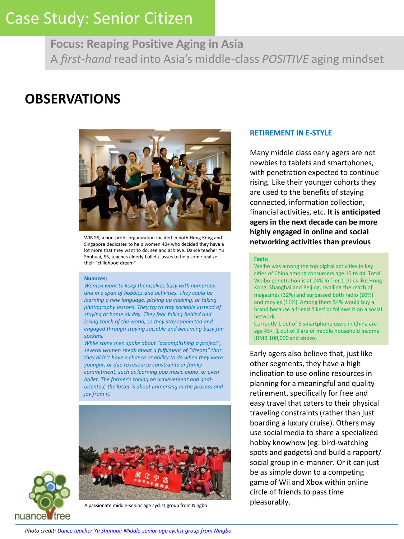**Focus: Reaping Positive Aging in Asia** A *first-hand* read into Asia's middle-class *POSITIVE* aging mindset

## **OBSERVATIONS**



WINGS, a non-profit organization located in both Hong Kong and<br>Singanore dedicates to beln women 404 who decided they have a **networking activities than previous** Singapore dedicates to help women 40+ who decided they have a lot more that they want to do, see and achieve. Dance teacher Yu Shuhuai, 55, teaches elderly ballet classes to help some realize their "childhood dream"

#### **Nuances:**

*Women want to keep themselves busy with numerous and in a span of hobbies and activities. They could be learning a new language, picking up cooking, or taking photography lessons. They try to stay sociable instead of staying at home all day. They fear falling behind and losing touch of the world, so they stay connected and engaged through staying sociable and becoming busy fun seekers.* 

*While some men spoke about "accomplishing a project", several women speak about a fulfilment of "dream" that they didn't have a chance or ability to do when they were younger, or due to resource constraints or family commitment, such as learning pop music piano, or even ballet. The former's toning on achievement and goaloriented, the latter is about immersing in the process and joy from it.* 



# nuance tree

A passionate middle-senior age cyclist group from Ningbo

#### **RETIREMENT IN E-STYLE**

Many middle class early agers are not newbies to tablets and smartphones, with penetration expected to continue rising. Like their younger cohorts they are used to the benefits of staying connected, information collection, financial activities, etc. **It is anticipated agers in the next decade can be more highly engaged in online and social** 

#### **Facts:**

Weibo was among the top digital activities in key cities of China among consumers age 15 to 44. Total Weibo penetration is at 24% in Tier 1 cities like Hong Kong, Shanghai and Beijing, rivalling the reach of magazines (32%) and surpassed both radio (20%) and movies (11%). Among them 54% would buy a brand because a friend 'likes' or follows it on a social network.

Currently 1 out of 5 smartphone users in China are age 45+; 1 out of 3 are of middle household income (RMB 100,000 and above)

Early agers also believe that, just like other segments, they have a high inclination to use online resources in planning for a meaningful and quality retirement, specifically for free and easy travel that caters to their physical traveling constraints (rather than just boarding a luxury cruise). Others may use social media to share a specialized hobby knowhow (eg: bird-watching spots and gadgets) and build a rapport/ social group in e-manner. Or it can just be as simple down to a competing game of Wii and Xbox within online circle of friends to pass time pleasurably.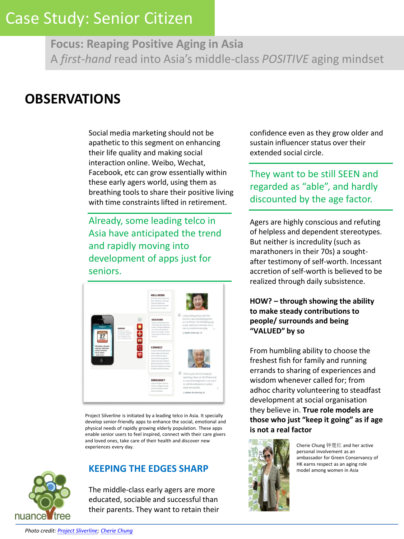**Focus: Reaping Positive Aging in Asia** A *first-hand* read into Asia's middle-class *POSITIVE* aging mindset

## **OBSERVATIONS**

Social media marketing should not be apathetic to this segment on enhancing their life quality and making social interaction online. Weibo, Wechat, Facebook, etc can grow essentially within these early agers world, using them as breathing tools to share their positive living with time constraints lifted in retirement.

Already, some leading telco in Asia have anticipated the trend and rapidly moving into development of apps just for seniors.



Project Silverline is initiated by a leading telco in Asia. It specially develop senior-friendly apps to enhance the social, emotional and physical needs of rapidly growing elderly population. These apps enable senior users to feel inspired, connect with their care givers and loved ones, take care of their health and discover new experiences every day.



## **KEEPING THE EDGES SHARP**

The middle-class early agers are more educated, sociable and successful than their parents. They want to retain their confidence even as they grow older and sustain influencer status over their extended social circle.

They want to be still SEEN and regarded as "able", and hardly discounted by the age factor.

Agers are highly conscious and refuting of helpless and dependent stereotypes. But neither is incredulity (such as marathoners in their 70s) a soughtafter testimony of self-worth. Incessant accretion of self-worth is believed to be realized through daily subsistence.

## **HOW? – through showing the ability to make steady contributions to people/ surrounds and being "VALUED" by so**

From humbling ability to choose the freshest fish for family and running errands to sharing of experiences and wisdom whenever called for; from adhoc charity volunteering to steadfast development at social organisation they believe in. **True role models are those who just "keep it going" as if age is not a real factor**



Cherie Chung 钟楚红 and her active personal involvement as an ambassador for Green Conservancy of HK earns respect as an aging role model among women in Asia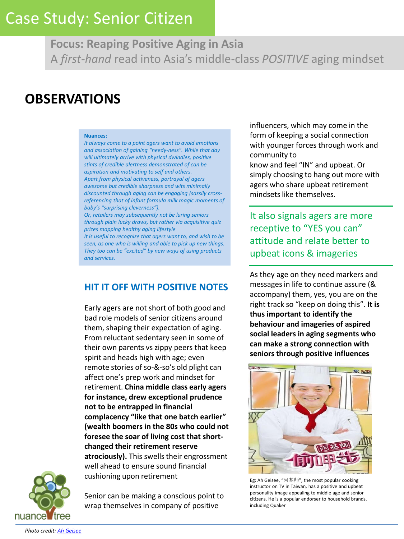**Focus: Reaping Positive Aging in Asia** A *first-hand* read into Asia's middle-class *POSITIVE* aging mindset

# **OBSERVATIONS**

#### **Nuances:**

*It always come to a point agers want to avoid emotions and association of gaining "needy-ness". While that day will ultimately arrive with physical dwindles, positive stints of credible alertness demonstrated of can be aspiration and motivating to self and others. Apart from physical activeness, portrayal of agers awesome but credible sharpness and wits minimally discounted through aging can be engaging (sassily crossreferencing that of infant formula milk magic moments of baby's "surprising cleverness").* 

*Or, retailers may subsequently not be luring seniors through plain lucky draws, but rather via acquisitive quiz prizes mapping healthy aging lifestyle* 

*It is useful to recognize that agers want to, and wish to be seen, as one who is willing and able to pick up new things. They too can be "excited" by new ways of using products and services.* 

## **HIT IT OFF WITH POSITIVE NOTES**

Early agers are not short of both good and bad role models of senior citizens around them, shaping their expectation of aging. From reluctant sedentary seen in some of their own parents vs zippy peers that keep spirit and heads high with age; even remote stories of so-&-so's old plight can affect one's prep work and mindset for retirement. **China middle class early agers for instance, drew exceptional prudence not to be entrapped in financial complacency "like that one batch earlier" (wealth boomers in the 80s who could not foresee the soar of living cost that shortchanged their retirement reserve atrociously).** This swells their engrossment well ahead to ensure sound financial cushioning upon retirement



Senior can be making a conscious point to wrap themselves in company of positive

influencers, which may come in the form of keeping a social connection with younger forces through work and community to know and feel "IN" and upbeat. Or simply choosing to hang out more with agers who share upbeat retirement mindsets like themselves.

It also signals agers are more receptive to "YES you can" attitude and relate better to upbeat icons & imageries

As they age on they need markers and messages in life to continue assure (& accompany) them, yes, you are on the right track so "keep on doing this". **It is thus important to identify the behaviour and imageries of aspired social leaders in aging segments who can make a strong connection with seniors through positive influences** 



Eg: Ah Geisee, "阿基师", the most popular cooking instructor on TV in Taiwan, has a positive and upbeat personality image appealing to middle age and senior citizens. He is a popular endorser to household brands, including Quaker